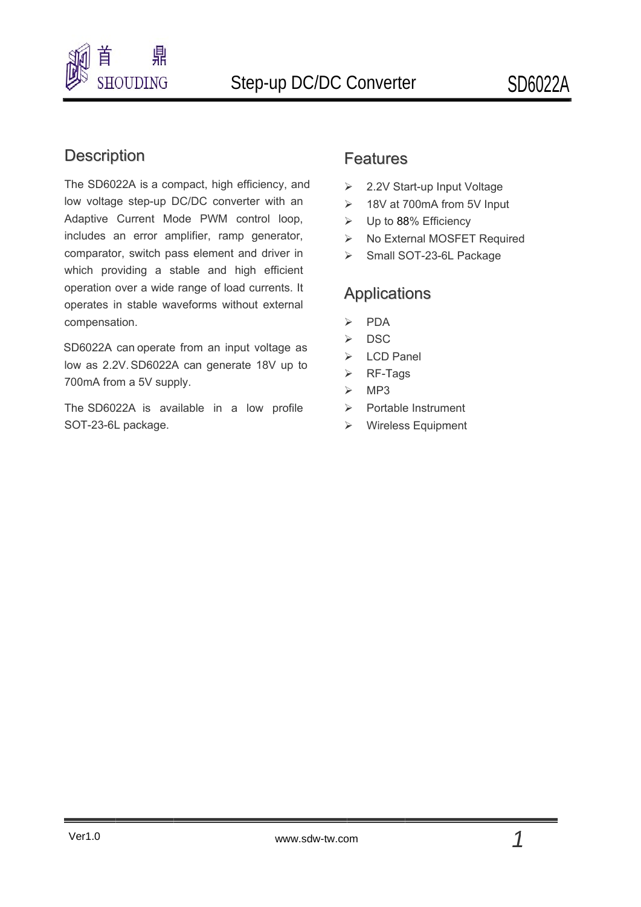

## **Description**

**Description**<br>The SD6022A is a compact, high efficiency, and The SD6022A is a compact, high efficiency, and<br>low voltage step-up DC/DC converter with an Adaptive Current Mode PWM control loop, includes an error amplifier, ramp generator, comparator, switch pass element and driver in which providing a stable and high efficient operation over a wide range of load currents. It operates in stable waveforms without external compensation.

low as 2.2V. SD6022A can generate 18V up to SD6022A can operate from an input voltage as 700 0mA from a 5V supply.

The SD6022A is available in a low profile The SD6022A is av<br>SOT-23-6L package.

### **Features**

- > 2.2V Start-up Input Voltage
- $\geq$  18V at 700 mA from 5V Input
- $\triangleright$  Up to 88% Efficiency
- > No External MOSFET Required
- > Small SOT-23-6L Package

## **Applications**

- > PDA
- $\triangleright$  DSC
- → PDA<br>
→ DSC<br>
→ LCD Panel
- RF-T Tags
- $\triangleright$  MP3
- $\triangleright$  Portable Instrument
- Wire less Equipm ment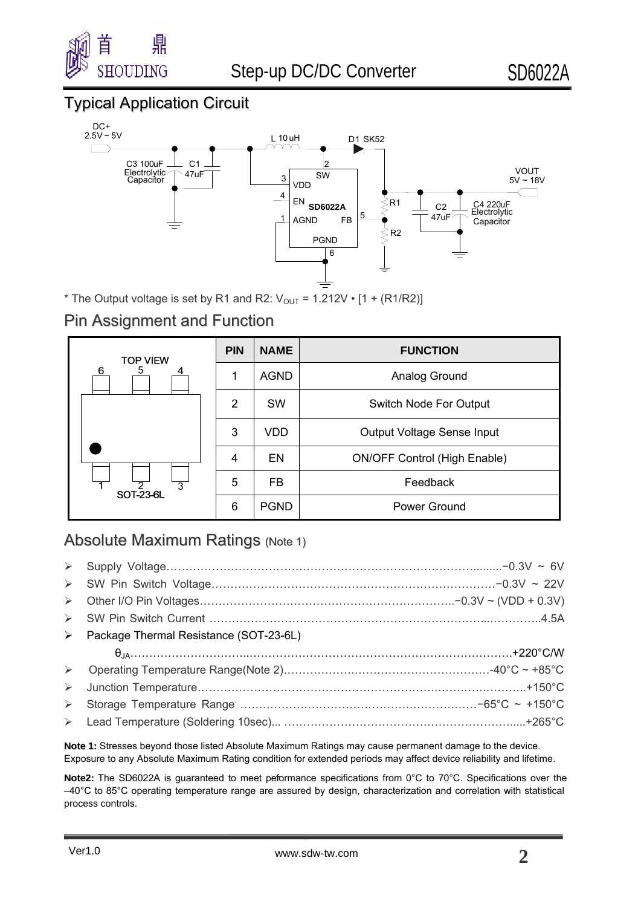

# Typical Application Circuit



\* The Output voltage is set by R1 and R2:  $V_{OUT} = 1.212V \cdot [1 + (R1/R2)]$ 

### Pin Assignment and Function

| <b>TOP VIEW</b>            | <b>PIN</b> | <b>NAME</b> | <b>FUNCTION</b>                     |
|----------------------------|------------|-------------|-------------------------------------|
| 6<br>5<br>4                | 1          | <b>AGND</b> | Analog Ground                       |
|                            | 2          | <b>SW</b>   | Switch Node For Output              |
|                            | 3          | VDD         | Output Voltage Sense Input          |
|                            | 4          | EN          | <b>ON/OFF Control (High Enable)</b> |
| 3<br>2<br><b>SOT-23-6L</b> | 5          | FB.         | Feedback                            |
|                            | 6          | <b>PGND</b> | Power Ground                        |

### Absolute Maximum Ratings (Note 1)

|                  | > Package Thermal Resistance (SOT-23-6L) |  |
|------------------|------------------------------------------|--|
|                  |                                          |  |
|                  |                                          |  |
| $\triangleright$ |                                          |  |
|                  |                                          |  |
| $\triangleright$ |                                          |  |

**Note 1:** Stresses beyond those listed Absolute Maximum Ratings may cause permanent damage to the device. Exposure to any Absolute Maximum Rating condition for extended periods may affect device reliability and lifetime.

Note2: The SD6022A is guaranteed to meet peformance specifications from 0°C to 70°C. Specifications over the –40°C to 85°C operating temperature range are assured by design, characterization and correlation with statistical process controls.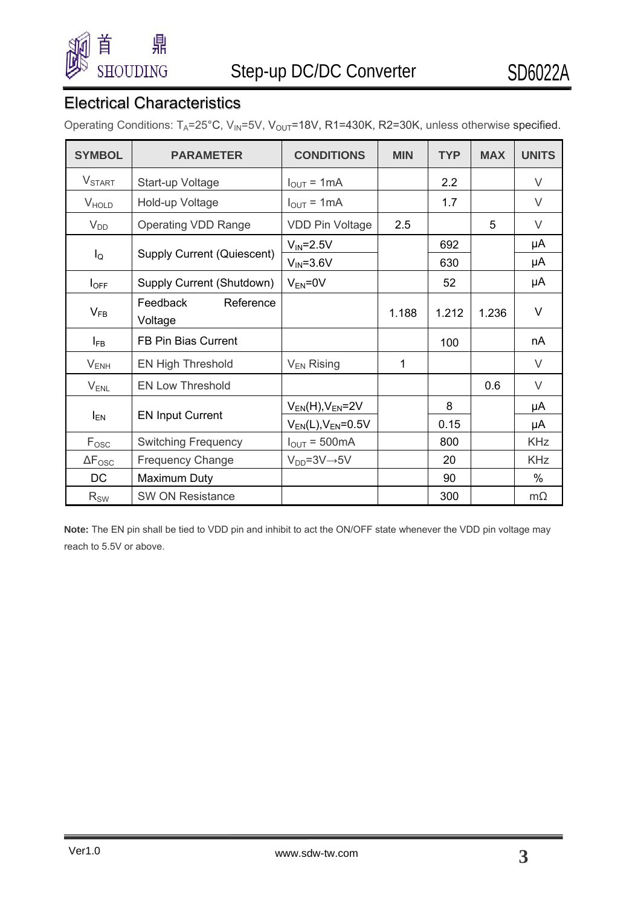

# Electrical Characteristics

Operating Conditions:  $T_A = 25^{\circ}$ C, V<sub>IN</sub>=5V, V<sub>OUT</sub>=18V, R1=430K, R2=30K, unless otherwise specified.

| <b>SYMBOL</b>         | <b>PARAMETER</b>                  | <b>CONDITIONS</b>              | <b>MIN</b> | <b>TYP</b> | <b>MAX</b> | <b>UNITS</b> |
|-----------------------|-----------------------------------|--------------------------------|------------|------------|------------|--------------|
| <b>VSTART</b>         | Start-up Voltage                  | $I_{\text{OUT}} = 1 \text{mA}$ |            | 2.2        |            | $\vee$       |
| <b>V</b> HOLD         | Hold-up Voltage                   | $I_{\text{OUT}} = 1 \text{mA}$ |            | 1.7        |            | V            |
| $V_{DD}$              | <b>Operating VDD Range</b>        | <b>VDD Pin Voltage</b>         | 2.5        |            | 5          | V            |
|                       |                                   | $V_{IN} = 2.5V$                |            | 692        |            | μA           |
| $I_{\mathsf{Q}}$      | <b>Supply Current (Quiescent)</b> | $V_{IN} = 3.6V$                |            | 630        |            | μA           |
| $I_{OFF}$             | Supply Current (Shutdown)         | $V_{EN} = 0V$                  |            | 52         |            | μA           |
| $V_{FB}$              | Feedback<br>Reference<br>Voltage  |                                | 1.188      | 1.212      | 1.236      | $\vee$       |
| $I_{FB}$              | FB Pin Bias Current               |                                |            | 100        |            | nA           |
| $V_{ENH}$             | <b>EN High Threshold</b>          | $V_{EN}$ Rising                | 1          |            |            | V            |
| $V_{ENL}$             | <b>EN Low Threshold</b>           |                                |            |            | 0.6        | V            |
|                       |                                   | $V_{EN}(H), V_{EN} = 2V$       |            | 8          |            | μA           |
| $I_{EN}$              | <b>EN Input Current</b>           | $V_{EN}(L)$ , $V_{EN}$ =0.5V   |            | 0.15       |            | μA           |
| F <sub>osc</sub>      | <b>Switching Frequency</b>        | $I_{\text{OUT}}$ = 500mA       |            | 800        |            | <b>KHz</b>   |
| $\Delta F_{\rm{OSC}}$ | <b>Frequency Change</b>           | $V_{DD} = 3V \rightarrow 5V$   |            | 20         |            | <b>KHz</b>   |
| DC                    | Maximum Duty                      |                                |            | 90         |            | %            |
| $R_{SW}$              | <b>SW ON Resistance</b>           |                                |            | 300        |            | $m\Omega$    |

**Note:** The EN pin shall be tied to VDD pin and inhibit to act the ON/OFF state whenever the VDD pin voltage may reach to 5.5V or above.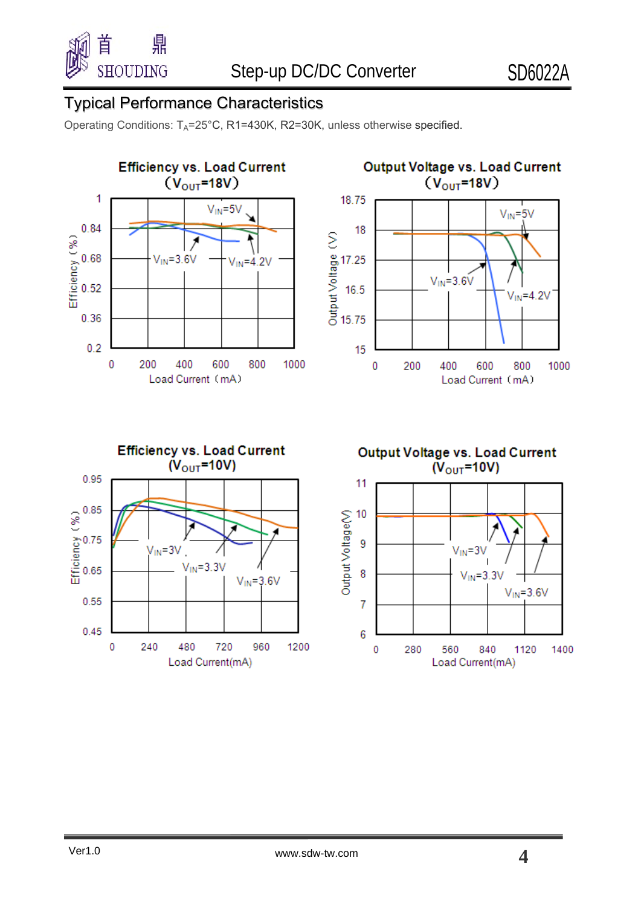

# Typical Performance Characteristics

Operating Conditions:  $T_A = 25^{\circ}$ C, R1=430K, R2=30K, unless otherwise specified.

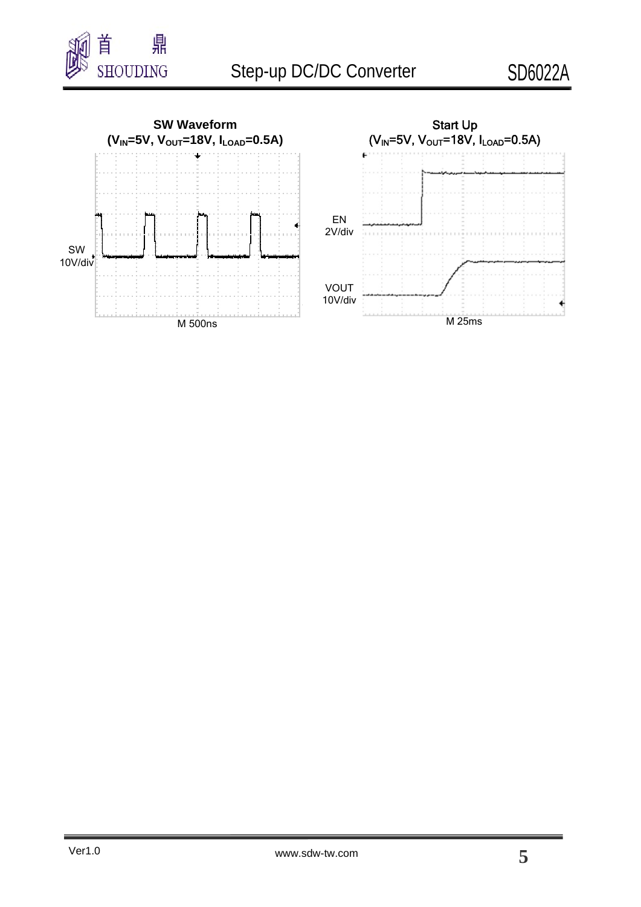

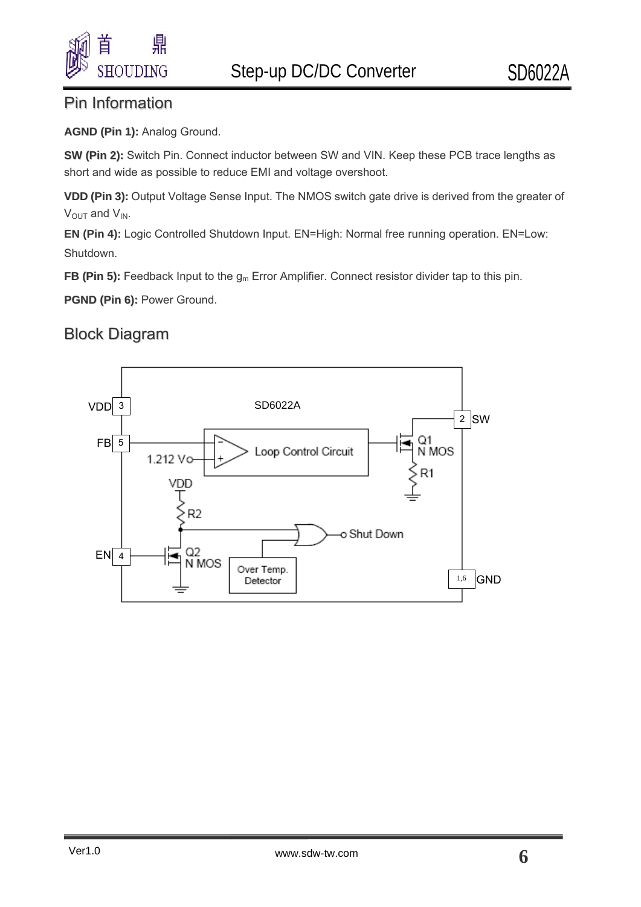

### Pin Information

**AGND (Pin 1):** Analog Ground.

**SW (Pin 2):** Switch Pin. Connect inductor between SW and VIN. Keep these PCB trace lengths as short and wide as possible to reduce EMI and voltage overshoot.

**VDD (Pin 3):** Output Voltage Sense Input. The NMOS switch gate drive is derived from the greater of  $V_{OUT}$  and  $V_{IN}$ .

**EN (Pin 4):** Logic Controlled Shutdown Input. EN=High: Normal free running operation. EN=Low: Shutdown.

**FB** (Pin 5): Feedback Input to the g<sub>m</sub> Error Amplifier. Connect resistor divider tap to this pin.

**PGND (Pin 6):** Power Ground.

### Block Diagram

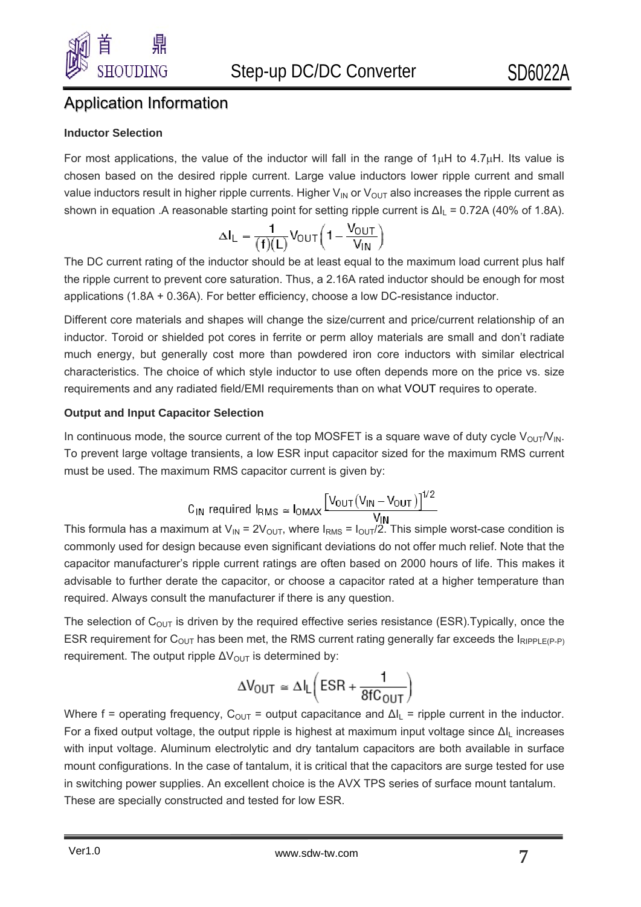

### Application Information

#### **Inductor Selection**

For most applications, the value of the inductor will fall in the range of  $1\mu$ H to 4.7 $\mu$ H. Its value is chosen based on the desired ripple current. Large value inductors lower ripple current and small value inductors result in higher ripple currents. Higher  $V_{IN}$  or  $V_{OUT}$  also increases the ripple current as shown in equation .A reasonable starting point for setting ripple current is  $\Delta I_L = 0.72A$  (40% of 1.8A).

$$
\Delta I_L = \frac{1}{(f)(L)} V_{OUT} \left( 1 - \frac{V_{OUT}}{V_{IN}} \right)
$$

The DC current rating of the inductor should be at least equal to the maximum load current plus half the ripple current to prevent core saturation. Thus, a 2.16A rated inductor should be enough for most applications (1.8A + 0.36A). For better efficiency, choose a low DC-resistance inductor.

Different core materials and shapes will change the size/current and price/current relationship of an inductor. Toroid or shielded pot cores in ferrite or perm alloy materials are small and don't radiate much energy, but generally cost more than powdered iron core inductors with similar electrical characteristics. The choice of which style inductor to use often depends more on the price vs. size requirements and any radiated field/EMI requirements than on what VOUT requires to operate.

#### **Output and Input Capacitor Selection**

In continuous mode, the source current of the top MOSFET is a square wave of duty cycle  $V_{\text{OUT}}/V_{\text{IN}}$ . To prevent large voltage transients, a low ESR input capacitor sized for the maximum RMS current must be used. The maximum RMS capacitor current is given by:

$$
C_{IN} \text{ required } I_{RMS} \cong I_{OMAX} \frac{\left[V_{OUT}(V_{IN} - V_{OUT})\right]^{1/2}}{V_{IN}}
$$

This formula has a maximum at  $V_{IN} = 2V_{OUT}$ , where  $I_{RMS} = I_{OUT}/2$ . This simple worst-case condition is commonly used for design because even significant deviations do not offer much relief. Note that the capacitor manufacturer's ripple current ratings are often based on 2000 hours of life. This makes it advisable to further derate the capacitor, or choose a capacitor rated at a higher temperature than required. Always consult the manufacturer if there is any question.

The selection of  $C_{\text{OUT}}$  is driven by the required effective series resistance (ESR). Typically, once the ESR requirement for  $C_{\text{OUT}}$  has been met, the RMS current rating generally far exceeds the  $I_{\text{RIPPLE}(P-P)}$ requirement. The output ripple  $\Delta V_{\text{OUT}}$  is determined by:

$$
\Delta V_{OUT} \cong \Delta I_L \bigg( ESR + \frac{1}{8fC_{OUT}} \bigg)
$$

Where f = operating frequency,  $C_{\text{OUT}}$  = output capacitance and  $\Delta I_1$  = ripple current in the inductor. For a fixed output voltage, the output ripple is highest at maximum input voltage since  $\Delta I_1$  increases with input voltage. Aluminum electrolytic and dry tantalum capacitors are both available in surface mount configurations. In the case of tantalum, it is critical that the capacitors are surge tested for use in switching power supplies. An excellent choice is the AVX TPS series of surface mount tantalum. These are specially constructed and tested for low ESR.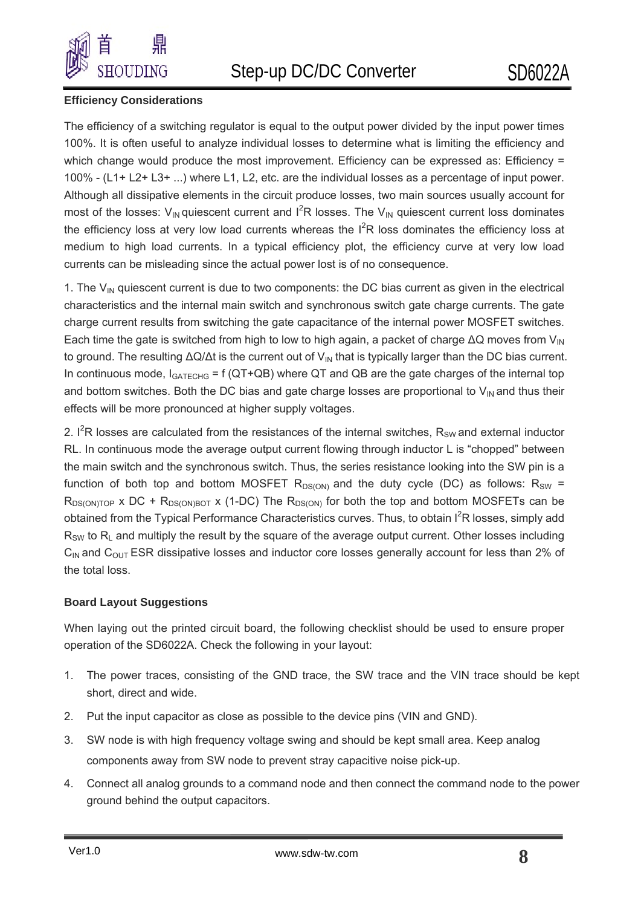

#### **Efficiency Considerations**

The efficiency of a switching regulator is equal to the output power divided by the input power times 100%. It is often useful to analyze individual losses to determine what is limiting the efficiency and which change would produce the most improvement. Efficiency can be expressed as: Efficiency  $=$ 100% - (L1+ L2+ L3+ ...) where L1, L2, etc. are the individual losses as a percentage of input power. Although all dissipative elements in the circuit produce losses, two main sources usually account for most of the losses:  $V_{IN}$  quiescent current and  $I^2R$  losses. The  $V_{IN}$  quiescent current loss dominates the efficiency loss at very low load currents whereas the  $I^2R$  loss dominates the efficiency loss at medium to high load currents. In a typical efficiency plot, the efficiency curve at very low load currents can be misleading since the actual power lost is of no consequence.

1. The  $V_{IN}$  quiescent current is due to two components: the DC bias current as given in the electrical characteristics and the internal main switch and synchronous switch gate charge currents. The gate charge current results from switching the gate capacitance of the internal power MOSFET switches. Each time the gate is switched from high to low to high again, a packet of charge  $\Delta Q$  moves from V<sub>IN</sub> to ground. The resulting  $\Delta Q/\Delta t$  is the current out of  $V_{\text{IN}}$  that is typically larger than the DC bias current. In continuous mode,  $I_{GATECHG}$  = f (QT+QB) where QT and QB are the gate charges of the internal top and bottom switches. Both the DC bias and gate charge losses are proportional to  $V_{\text{IN}}$  and thus their effects will be more pronounced at higher supply voltages.

2.  $I^2R$  losses are calculated from the resistances of the internal switches,  $R_{SW}$  and external inductor RL. In continuous mode the average output current flowing through inductor L is "chopped" between the main switch and the synchronous switch. Thus, the series resistance looking into the SW pin is a function of both top and bottom MOSFET  $R_{DS(ON)}$  and the duty cycle (DC) as follows:  $R_{SW}$  =  $R_{DS(ON)TOP}$  x DC +  $R_{DS(ON)ROT}$  x (1-DC) The  $R_{DS(ON)}$  for both the top and bottom MOSFETs can be obtained from the Typical Performance Characteristics curves. Thus, to obtain I<sup>2</sup>R losses, simply add  $R_{SW}$  to  $R_L$  and multiply the result by the square of the average output current. Other losses including  $C<sub>IN</sub>$  and  $C<sub>OUT</sub>$  ESR dissipative losses and inductor core losses generally account for less than 2% of the total loss.

#### **Board Layout Suggestions**

operation of the SD6022A. Check t he following in your layout: When laying out the printed circuit board, the following checklist should be used to ensure proper

- 1. The power traces, consisting of the GND trace, the SW trace and the VIN trace should be kept short, direct and wide.
- 2. Put the input capacitor as close as possible to the device pins (VIN and GND).
- 3. SW node is with high frequency voltage swing and should be kept small area. Keep analog components away from SW node to prevent stray capacitive noise pick-up.
- 4. Connect all analog grounds to a command node and then connect the command node to the power ground behind the output capacitors.